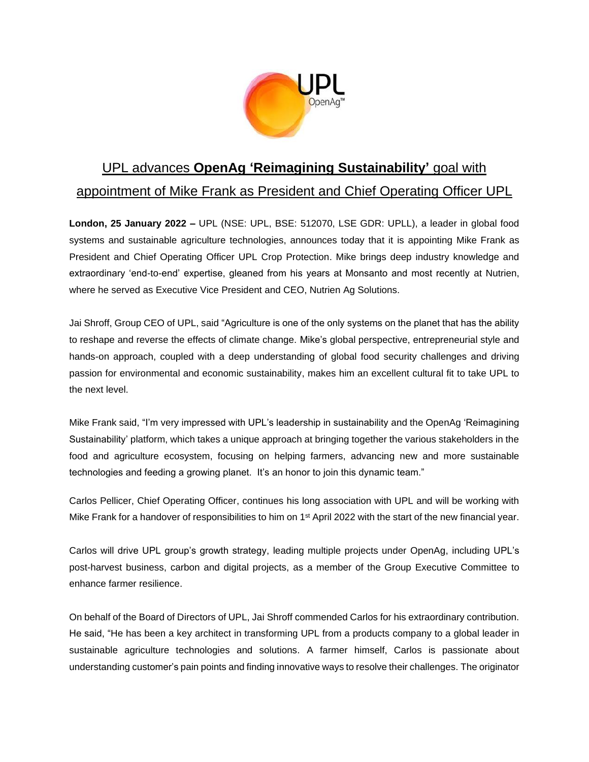

## UPL advances **OpenAg 'Reimagining Sustainability'** goal with appointment of Mike Frank as President and Chief Operating Officer UPL

**London, 25 January 2022 –** UPL (NSE: UPL, BSE: 512070, LSE GDR: UPLL), a leader in global food systems and sustainable agriculture technologies, announces today that it is appointing Mike Frank as President and Chief Operating Officer UPL Crop Protection. Mike brings deep industry knowledge and extraordinary 'end-to-end' expertise, gleaned from his years at Monsanto and most recently at Nutrien, where he served as Executive Vice President and CEO, Nutrien Ag Solutions.

Jai Shroff, Group CEO of UPL, said "Agriculture is one of the only systems on the planet that has the ability to reshape and reverse the effects of climate change. Mike's global perspective, entrepreneurial style and hands-on approach, coupled with a deep understanding of global food security challenges and driving passion for environmental and economic sustainability, makes him an excellent cultural fit to take UPL to the next level.

Mike Frank said, "I'm very impressed with UPL's leadership in sustainability and the OpenAg 'Reimagining Sustainability' platform, which takes a unique approach at bringing together the various stakeholders in the food and agriculture ecosystem, focusing on helping farmers, advancing new and more sustainable technologies and feeding a growing planet. It's an honor to join this dynamic team."

Carlos Pellicer, Chief Operating Officer, continues his long association with UPL and will be working with Mike Frank for a handover of responsibilities to him on 1<sup>st</sup> April 2022 with the start of the new financial year.

Carlos will drive UPL group's growth strategy, leading multiple projects under OpenAg, including UPL's post-harvest business, carbon and digital projects, as a member of the Group Executive Committee to enhance farmer resilience.

On behalf of the Board of Directors of UPL, Jai Shroff commended Carlos for his extraordinary contribution. He said, "He has been a key architect in transforming UPL from a products company to a global leader in sustainable agriculture technologies and solutions. A farmer himself, Carlos is passionate about understanding customer's pain points and finding innovative ways to resolve their challenges. The originator